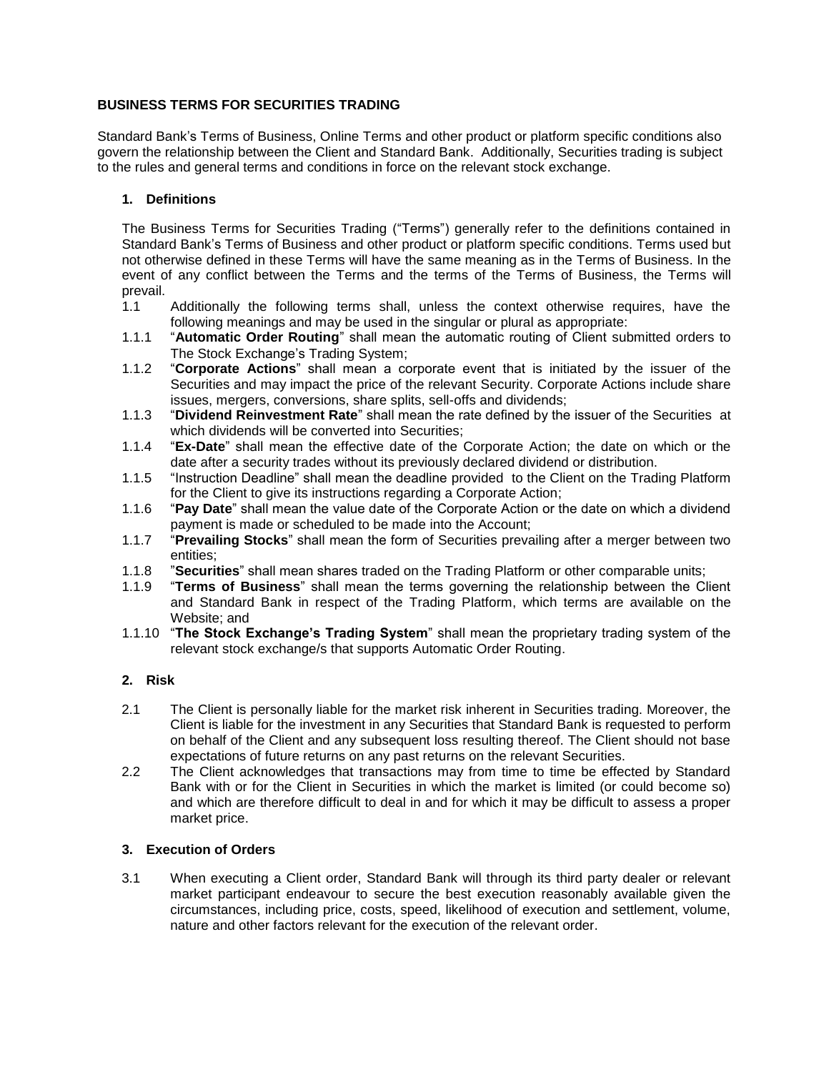# **BUSINESS TERMS FOR SECURITIES TRADING**

Standard Bank's Terms of Business, Online Terms and other product or platform specific conditions also govern the relationship between the Client and Standard Bank. Additionally, Securities trading is subject to the rules and general terms and conditions in force on the relevant stock exchange.

## **1. Definitions**

The Business Terms for Securities Trading ("Terms") generally refer to the definitions contained in Standard Bank's Terms of Business and other product or platform specific conditions. Terms used but not otherwise defined in these Terms will have the same meaning as in the Terms of Business. In the event of any conflict between the Terms and the terms of the Terms of Business, the Terms will prevail.

- 1.1 Additionally the following terms shall, unless the context otherwise requires, have the following meanings and may be used in the singular or plural as appropriate:
- 1.1.1 "**Automatic Order Routing**" shall mean the automatic routing of Client submitted orders to The Stock Exchange's Trading System;
- 1.1.2 "**Corporate Actions**" shall mean a corporate event that is initiated by the issuer of the Securities and may impact the price of the relevant Security. Corporate Actions include share issues, mergers, conversions, share splits, sell-offs and dividends;
- 1.1.3 "**Dividend Reinvestment Rate**" shall mean the rate defined by the issuer of the Securities at which dividends will be converted into Securities;
- 1.1.4 "**Ex-Date**" shall mean the effective date of the Corporate Action; the date on which or the date after a security trades without its previously declared dividend or distribution.
- 1.1.5 "Instruction Deadline" shall mean the deadline provided to the Client on the Trading Platform for the Client to give its instructions regarding a Corporate Action;
- 1.1.6 "**Pay Date**" shall mean the value date of the Corporate Action or the date on which a dividend payment is made or scheduled to be made into the Account;
- 1.1.7 "**Prevailing Stocks**" shall mean the form of Securities prevailing after a merger between two entities;
- 1.1.8 "**Securities**" shall mean shares traded on the Trading Platform or other comparable units;
- 1.1.9 "**Terms of Business**" shall mean the terms governing the relationship between the Client and Standard Bank in respect of the Trading Platform, which terms are available on the Website; and
- 1.1.10 "**The Stock Exchange's Trading System**" shall mean the proprietary trading system of the relevant stock exchange/s that supports Automatic Order Routing.

## **2. Risk**

- 2.1 The Client is personally liable for the market risk inherent in Securities trading. Moreover, the Client is liable for the investment in any Securities that Standard Bank is requested to perform on behalf of the Client and any subsequent loss resulting thereof. The Client should not base expectations of future returns on any past returns on the relevant Securities.
- 2.2 The Client acknowledges that transactions may from time to time be effected by Standard Bank with or for the Client in Securities in which the market is limited (or could become so) and which are therefore difficult to deal in and for which it may be difficult to assess a proper market price.

### **3. Execution of Orders**

3.1 When executing a Client order, Standard Bank will through its third party dealer or relevant market participant endeavour to secure the best execution reasonably available given the circumstances, including price, costs, speed, likelihood of execution and settlement, volume, nature and other factors relevant for the execution of the relevant order.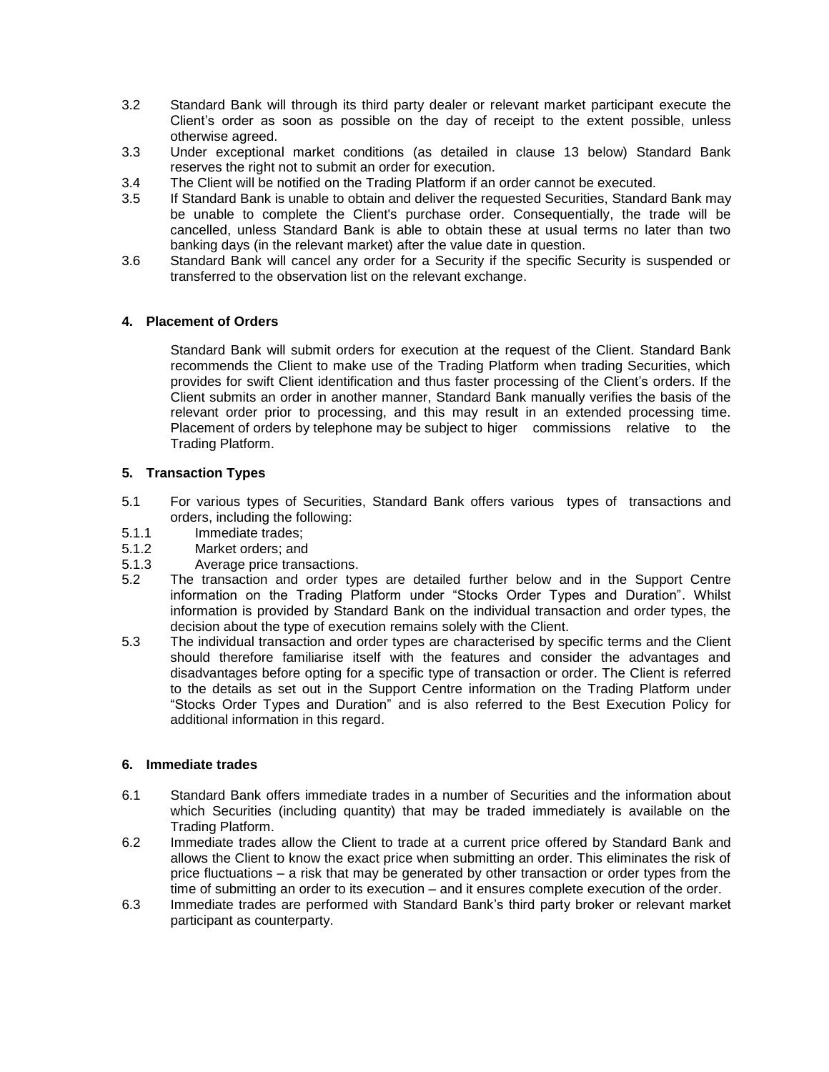- 3.2 Standard Bank will through its third party dealer or relevant market participant execute the Client's order as soon as possible on the day of receipt to the extent possible, unless otherwise agreed.
- 3.3 Under exceptional market conditions (as detailed in clause [13](#page-5-0) below) Standard Bank reserves the right not to submit an order for execution.
- 3.4 The Client will be notified on the Trading Platform if an order cannot be executed.
- 3.5 If Standard Bank is unable to obtain and deliver the requested Securities, Standard Bank may be unable to complete the Client's purchase order. Consequentially, the trade will be cancelled, unless Standard Bank is able to obtain these at usual terms no later than two banking days (in the relevant market) after the value date in question.
- 3.6 Standard Bank will cancel any order for a Security if the specific Security is suspended or transferred to the observation list on the relevant exchange.

## **4. Placement of Orders**

Standard Bank will submit orders for execution at the request of the Client. Standard Bank recommends the Client to make use of the Trading Platform when trading Securities, which provides for swift Client identification and thus faster processing of the Client's orders. If the Client submits an order in another manner, Standard Bank manually verifies the basis of the relevant order prior to processing, and this may result in an extended processing time. Placement of orders by telephone may be subject to higer commissions relative to the Trading Platform.

## **5. Transaction Types**

- 5.1 For various types of Securities, Standard Bank offers various types of transactions and orders, including the following:
- 5.1.1 Immediate trades;
- 5.1.2 Market orders; and<br>5.1.3 Average price trans
- Average price transactions.
- 5.2 The transaction and order types are detailed further below and in the Support Centre information on the Trading Platform under "Stocks Order Types and Duration". Whilst information is provided by Standard Bank on the individual transaction and order types, the decision about the type of execution remains solely with the Client.
- 5.3 The individual transaction and order types are characterised by specific terms and the Client should therefore familiarise itself with the features and consider the advantages and disadvantages before opting for a specific type of transaction or order. The Client is referred to the details as set out in the Support Centre information on the Trading Platform under "Stocks Order Types and Duration" and is also referred to the Best Execution Policy for additional information in this regard.

## **6. Immediate trades**

- 6.1 Standard Bank offers immediate trades in a number of Securities and the information about which Securities (including quantity) that may be traded immediately is available on the Trading Platform.
- 6.2 Immediate trades allow the Client to trade at a current price offered by Standard Bank and allows the Client to know the exact price when submitting an order. This eliminates the risk of price fluctuations – a risk that may be generated by other transaction or order types from the time of submitting an order to its execution – and it ensures complete execution of the order.
- 6.3 Immediate trades are performed with Standard Bank's third party broker or relevant market participant as counterparty.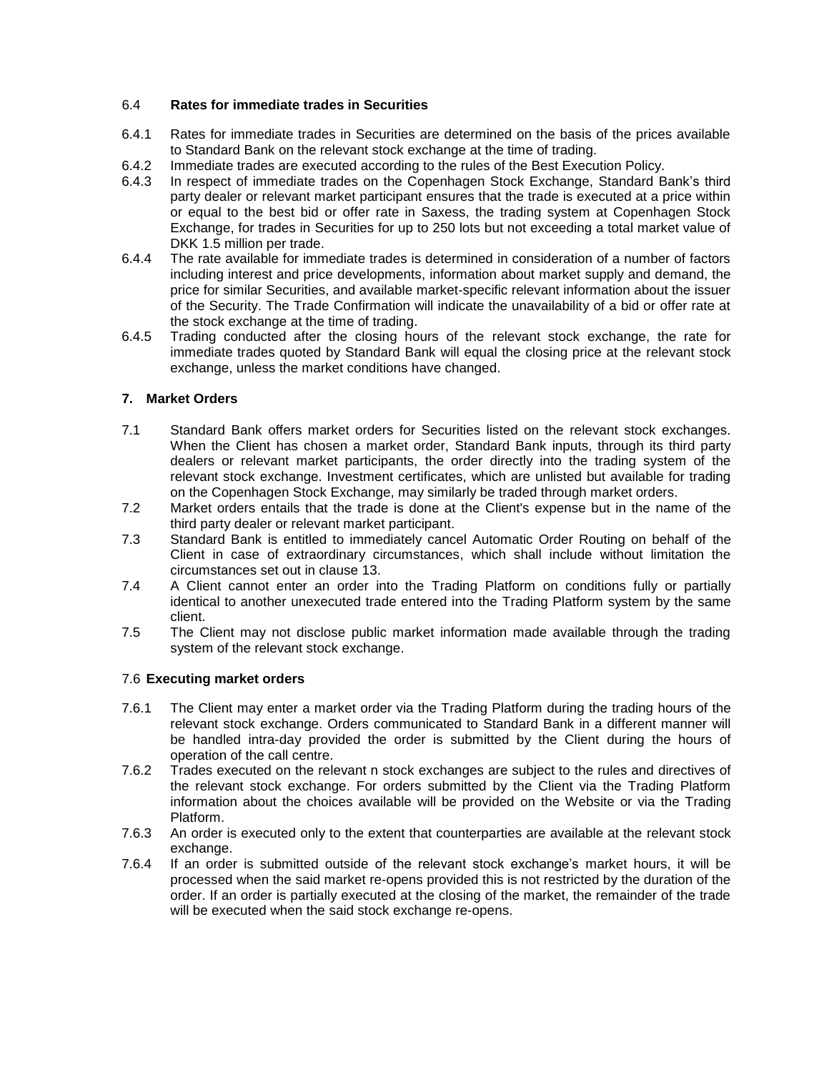## 6.4 **Rates for immediate trades in Securities**

- 6.4.1 Rates for immediate trades in Securities are determined on the basis of the prices available to Standard Bank on the relevant stock exchange at the time of trading.
- 6.4.2 Immediate trades are executed according to the rules of the Best Execution Policy.
- 6.4.3 In respect of immediate trades on the Copenhagen Stock Exchange, Standard Bank's third party dealer or relevant market participant ensures that the trade is executed at a price within or equal to the best bid or offer rate in Saxess, the trading system at Copenhagen Stock Exchange, for trades in Securities for up to 250 lots but not exceeding a total market value of DKK 1.5 million per trade.
- 6.4.4 The rate available for immediate trades is determined in consideration of a number of factors including interest and price developments, information about market supply and demand, the price for similar Securities, and available market-specific relevant information about the issuer of the Security. The Trade Confirmation will indicate the unavailability of a bid or offer rate at the stock exchange at the time of trading.
- 6.4.5 Trading conducted after the closing hours of the relevant stock exchange, the rate for immediate trades quoted by Standard Bank will equal the closing price at the relevant stock exchange, unless the market conditions have changed.

### **7. Market Orders**

- 7.1 Standard Bank offers market orders for Securities listed on the relevant stock exchanges. When the Client has chosen a market order, Standard Bank inputs, through its third party dealers or relevant market participants, the order directly into the trading system of the relevant stock exchange. Investment certificates, which are unlisted but available for trading on the Copenhagen Stock Exchange, may similarly be traded through market orders.
- 7.2 Market orders entails that the trade is done at the Client's expense but in the name of the third party dealer or relevant market participant.
- 7.3 Standard Bank is entitled to immediately cancel Automatic Order Routing on behalf of the Client in case of extraordinary circumstances, which shall include without limitation the circumstances set out in clause [13.](#page-5-0)
- 7.4 A Client cannot enter an order into the Trading Platform on conditions fully or partially identical to another unexecuted trade entered into the Trading Platform system by the same client.
- 7.5 The Client may not disclose public market information made available through the trading system of the relevant stock exchange.

#### 7.6 **Executing market orders**

- 7.6.1 The Client may enter a market order via the Trading Platform during the trading hours of the relevant stock exchange. Orders communicated to Standard Bank in a different manner will be handled intra-day provided the order is submitted by the Client during the hours of operation of the call centre.
- 7.6.2 Trades executed on the relevant n stock exchanges are subject to the rules and directives of the relevant stock exchange. For orders submitted by the Client via the Trading Platform information about the choices available will be provided on the Website or via the Trading Platform.
- 7.6.3 An order is executed only to the extent that counterparties are available at the relevant stock exchange.
- 7.6.4 If an order is submitted outside of the relevant stock exchange's market hours, it will be processed when the said market re-opens provided this is not restricted by the duration of the order. If an order is partially executed at the closing of the market, the remainder of the trade will be executed when the said stock exchange re-opens.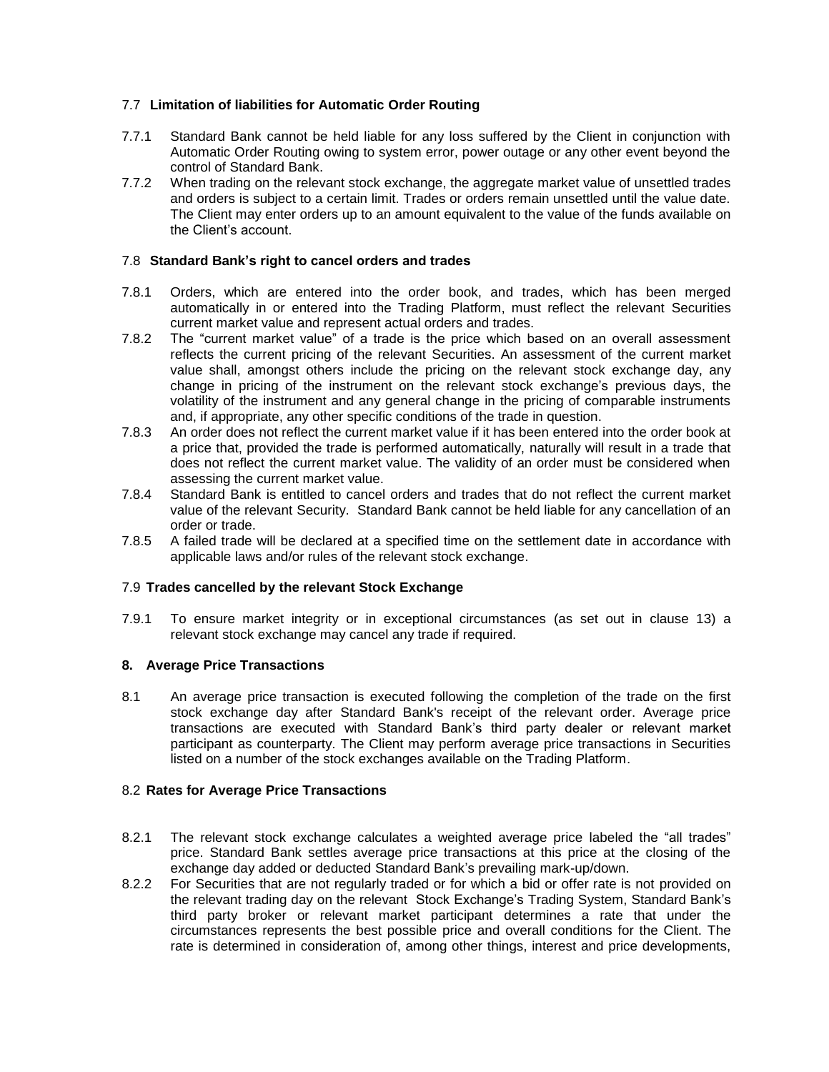## 7.7 **Limitation of liabilities for Automatic Order Routing**

- 7.7.1 Standard Bank cannot be held liable for any loss suffered by the Client in conjunction with Automatic Order Routing owing to system error, power outage or any other event beyond the control of Standard Bank.
- 7.7.2 When trading on the relevant stock exchange, the aggregate market value of unsettled trades and orders is subject to a certain limit. Trades or orders remain unsettled until the value date. The Client may enter orders up to an amount equivalent to the value of the funds available on the Client's account.

## 7.8 **Standard Bank's right to cancel orders and trades**

- 7.8.1 Orders, which are entered into the order book, and trades, which has been merged automatically in or entered into the Trading Platform, must reflect the relevant Securities current market value and represent actual orders and trades.
- 7.8.2 The "current market value" of a trade is the price which based on an overall assessment reflects the current pricing of the relevant Securities. An assessment of the current market value shall, amongst others include the pricing on the relevant stock exchange day, any change in pricing of the instrument on the relevant stock exchange's previous days, the volatility of the instrument and any general change in the pricing of comparable instruments and, if appropriate, any other specific conditions of the trade in question.
- 7.8.3 An order does not reflect the current market value if it has been entered into the order book at a price that, provided the trade is performed automatically, naturally will result in a trade that does not reflect the current market value. The validity of an order must be considered when assessing the current market value.
- 7.8.4 Standard Bank is entitled to cancel orders and trades that do not reflect the current market value of the relevant Security. Standard Bank cannot be held liable for any cancellation of an order or trade.
- 7.8.5 A failed trade will be declared at a specified time on the settlement date in accordance with applicable laws and/or rules of the relevant stock exchange.

#### 7.9 **Trades cancelled by the relevant Stock Exchange**

7.9.1 To ensure market integrity or in exceptional circumstances (as set out in clause 13) a relevant stock exchange may cancel any trade if required.

#### **8. Average Price Transactions**

8.1 An average price transaction is executed following the completion of the trade on the first stock exchange day after Standard Bank's receipt of the relevant order. Average price transactions are executed with Standard Bank's third party dealer or relevant market participant as counterparty. The Client may perform average price transactions in Securities listed on a number of the stock exchanges available on the Trading Platform.

#### 8.2 **Rates for Average Price Transactions**

- 8.2.1 The relevant stock exchange calculates a weighted average price labeled the "all trades" price. Standard Bank settles average price transactions at this price at the closing of the exchange day added or deducted Standard Bank's prevailing mark-up/down.
- 8.2.2 For Securities that are not regularly traded or for which a bid or offer rate is not provided on the relevant trading day on the relevant Stock Exchange's Trading System, Standard Bank's third party broker or relevant market participant determines a rate that under the circumstances represents the best possible price and overall conditions for the Client. The rate is determined in consideration of, among other things, interest and price developments,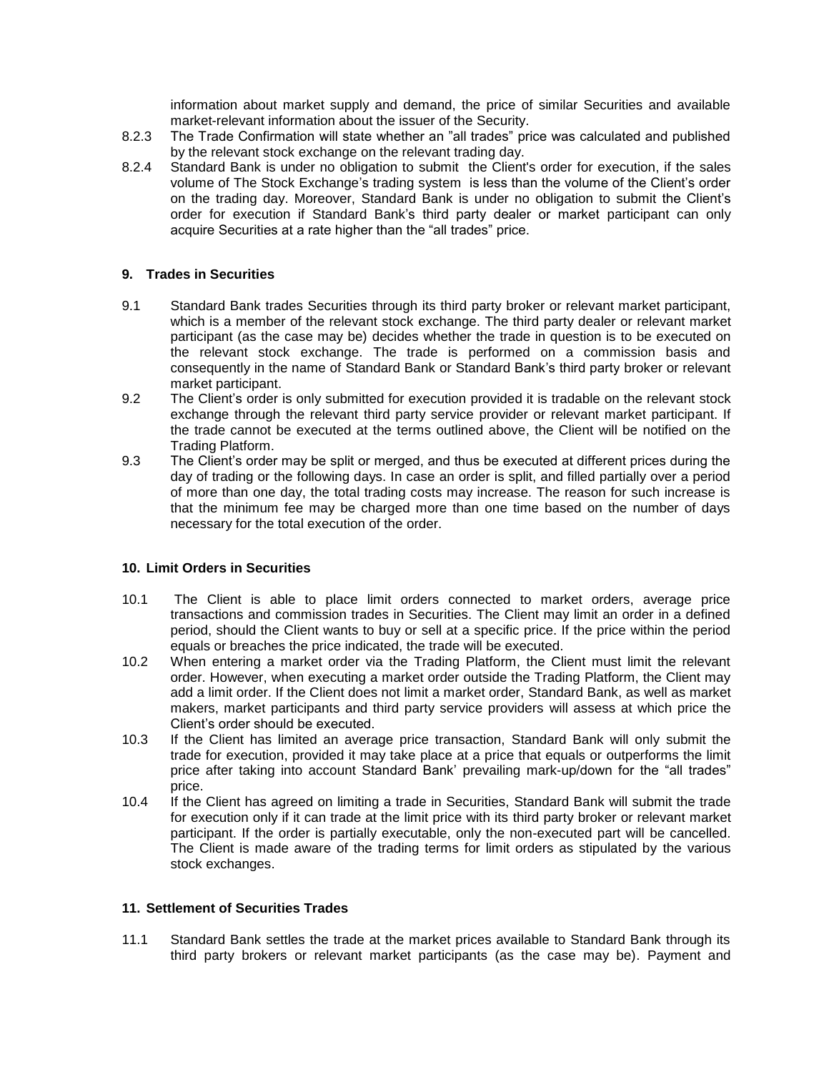information about market supply and demand, the price of similar Securities and available market-relevant information about the issuer of the Security.

- 8.2.3 The Trade Confirmation will state whether an "all trades" price was calculated and published by the relevant stock exchange on the relevant trading day.
- 8.2.4 Standard Bank is under no obligation to submit the Client's order for execution, if the sales volume of The Stock Exchange's trading system is less than the volume of the Client's order on the trading day. Moreover, Standard Bank is under no obligation to submit the Client's order for execution if Standard Bank's third party dealer or market participant can only acquire Securities at a rate higher than the "all trades" price.

### **9. Trades in Securities**

- 9.1 Standard Bank trades Securities through its third party broker or relevant market participant, which is a member of the relevant stock exchange. The third party dealer or relevant market participant (as the case may be) decides whether the trade in question is to be executed on the relevant stock exchange. The trade is performed on a commission basis and consequently in the name of Standard Bank or Standard Bank's third party broker or relevant market participant.
- 9.2 The Client's order is only submitted for execution provided it is tradable on the relevant stock exchange through the relevant third party service provider or relevant market participant. If the trade cannot be executed at the terms outlined above, the Client will be notified on the Trading Platform.
- 9.3 The Client's order may be split or merged, and thus be executed at different prices during the day of trading or the following days. In case an order is split, and filled partially over a period of more than one day, the total trading costs may increase. The reason for such increase is that the minimum fee may be charged more than one time based on the number of days necessary for the total execution of the order.

#### **10. Limit Orders in Securities**

- 10.1 The Client is able to place limit orders connected to market orders, average price transactions and commission trades in Securities. The Client may limit an order in a defined period, should the Client wants to buy or sell at a specific price. If the price within the period equals or breaches the price indicated, the trade will be executed.
- 10.2 When entering a market order via the Trading Platform, the Client must limit the relevant order. However, when executing a market order outside the Trading Platform, the Client may add a limit order. If the Client does not limit a market order, Standard Bank, as well as market makers, market participants and third party service providers will assess at which price the Client's order should be executed.
- 10.3 If the Client has limited an average price transaction, Standard Bank will only submit the trade for execution, provided it may take place at a price that equals or outperforms the limit price after taking into account Standard Bank' prevailing mark-up/down for the "all trades" price.
- 10.4 If the Client has agreed on limiting a trade in Securities, Standard Bank will submit the trade for execution only if it can trade at the limit price with its third party broker or relevant market participant. If the order is partially executable, only the non-executed part will be cancelled. The Client is made aware of the trading terms for limit orders as stipulated by the various stock exchanges.

## **11. Settlement of Securities Trades**

11.1 Standard Bank settles the trade at the market prices available to Standard Bank through its third party brokers or relevant market participants (as the case may be). Payment and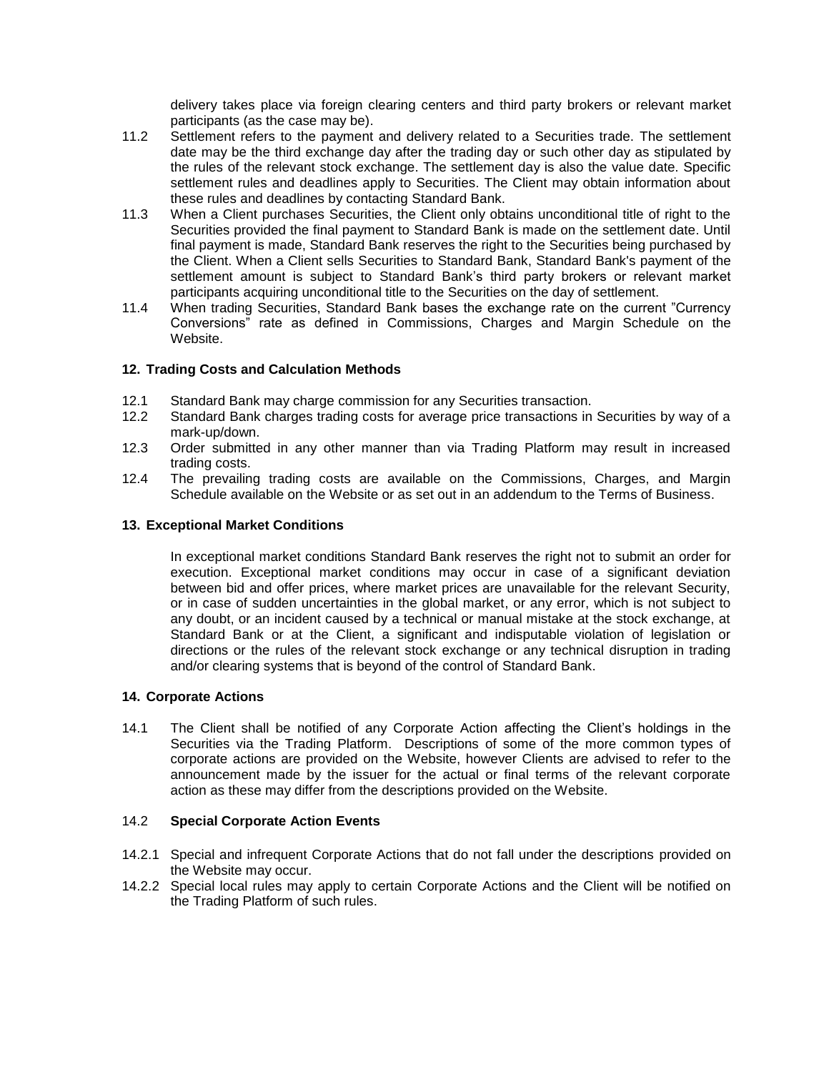delivery takes place via foreign clearing centers and third party brokers or relevant market participants (as the case may be).

- 11.2 Settlement refers to the payment and delivery related to a Securities trade. The settlement date may be the third exchange day after the trading day or such other day as stipulated by the rules of the relevant stock exchange. The settlement day is also the value date. Specific settlement rules and deadlines apply to Securities. The Client may obtain information about these rules and deadlines by contacting Standard Bank.
- 11.3 When a Client purchases Securities, the Client only obtains unconditional title of right to the Securities provided the final payment to Standard Bank is made on the settlement date. Until final payment is made, Standard Bank reserves the right to the Securities being purchased by the Client. When a Client sells Securities to Standard Bank, Standard Bank's payment of the settlement amount is subject to Standard Bank's third party brokers or relevant market participants acquiring unconditional title to the Securities on the day of settlement.
- 11.4 When trading Securities, Standard Bank bases the exchange rate on the current "Currency Conversions" rate as defined in Commissions, Charges and Margin Schedule on the Website.

### **12. Trading Costs and Calculation Methods**

- 12.1 Standard Bank may charge commission for any Securities transaction.<br>12.2 Standard Bank charges trading costs for average price transactions in
- Standard Bank charges trading costs for average price transactions in Securities by way of a mark-up/down.
- 12.3 Order submitted in any other manner than via Trading Platform may result in increased trading costs.
- 12.4 The prevailing trading costs are available on the Commissions, Charges, and Margin Schedule available on the Website or as set out in an addendum to the Terms of Business.

#### <span id="page-5-0"></span>**13. Exceptional Market Conditions**

In exceptional market conditions Standard Bank reserves the right not to submit an order for execution. Exceptional market conditions may occur in case of a significant deviation between bid and offer prices, where market prices are unavailable for the relevant Security, or in case of sudden uncertainties in the global market, or any error, which is not subject to any doubt, or an incident caused by a technical or manual mistake at the stock exchange, at Standard Bank or at the Client, a significant and indisputable violation of legislation or directions or the rules of the relevant stock exchange or any technical disruption in trading and/or clearing systems that is beyond of the control of Standard Bank.

#### **14. Corporate Actions**

14.1 The Client shall be notified of any Corporate Action affecting the Client's holdings in the Securities via the Trading Platform. Descriptions of some of the more common types of corporate actions are provided on the Website, however Clients are advised to refer to the announcement made by the issuer for the actual or final terms of the relevant corporate action as these may differ from the descriptions provided on the Website.

#### 14.2 **Special Corporate Action Events**

- 14.2.1 Special and infrequent Corporate Actions that do not fall under the descriptions provided on the Website may occur.
- 14.2.2 Special local rules may apply to certain Corporate Actions and the Client will be notified on the Trading Platform of such rules.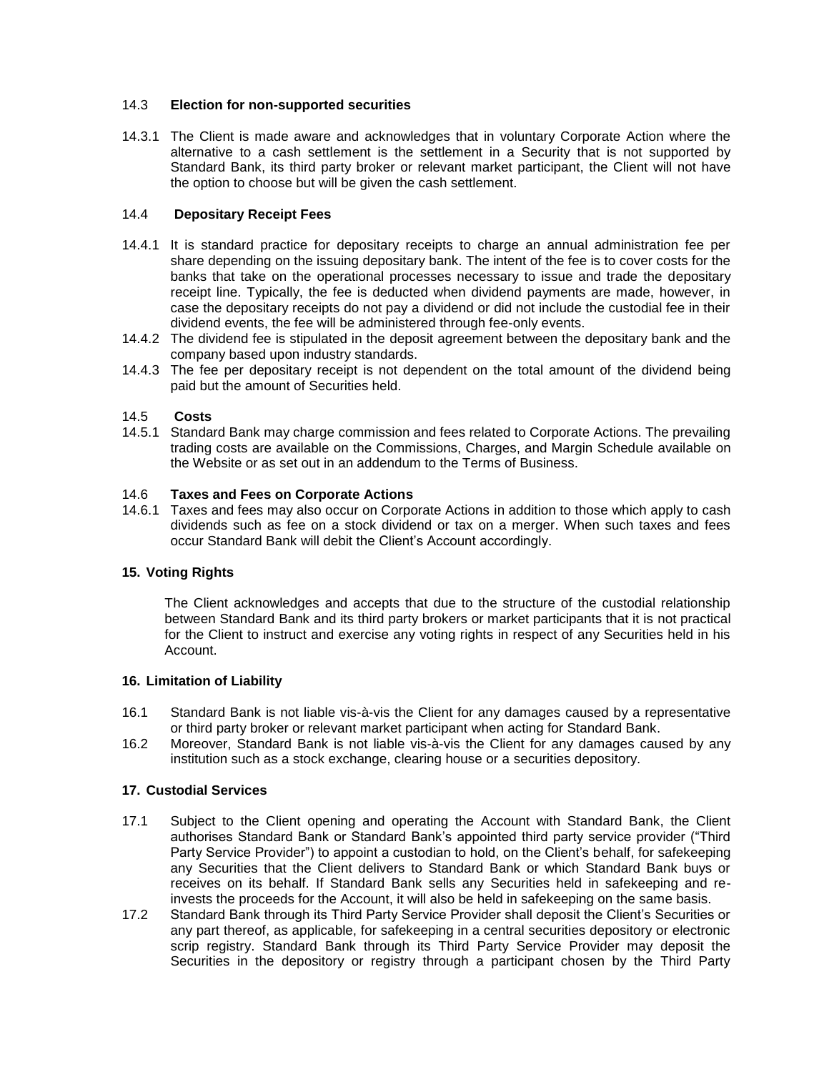### 14.3 **Election for non-supported securities**

14.3.1 The Client is made aware and acknowledges that in voluntary Corporate Action where the alternative to a cash settlement is the settlement in a Security that is not supported by Standard Bank, its third party broker or relevant market participant, the Client will not have the option to choose but will be given the cash settlement.

### 14.4 **Depositary Receipt Fees**

- 14.4.1 It is standard practice for depositary receipts to charge an annual administration fee per share depending on the issuing depositary bank. The intent of the fee is to cover costs for the banks that take on the operational processes necessary to issue and trade the depositary receipt line. Typically, the fee is deducted when dividend payments are made, however, in case the depositary receipts do not pay a dividend or did not include the custodial fee in their dividend events, the fee will be administered through fee-only events.
- 14.4.2 The dividend fee is stipulated in the deposit agreement between the depositary bank and the company based upon industry standards.
- 14.4.3 The fee per depositary receipt is not dependent on the total amount of the dividend being paid but the amount of Securities held.

### 14.5 **Costs**

14.5.1 Standard Bank may charge commission and fees related to Corporate Actions. The prevailing trading costs are available on the Commissions, Charges, and Margin Schedule available on the Website or as set out in an addendum to the Terms of Business.

#### 14.6 **Taxes and Fees on Corporate Actions**

14.6.1 Taxes and fees may also occur on Corporate Actions in addition to those which apply to cash dividends such as fee on a stock dividend or tax on a merger. When such taxes and fees occur Standard Bank will debit the Client's Account accordingly.

#### **15. Voting Rights**

The Client acknowledges and accepts that due to the structure of the custodial relationship between Standard Bank and its third party brokers or market participants that it is not practical for the Client to instruct and exercise any voting rights in respect of any Securities held in his Account.

#### **16. Limitation of Liability**

- 16.1 Standard Bank is not liable vis-à-vis the Client for any damages caused by a representative or third party broker or relevant market participant when acting for Standard Bank.
- 16.2 Moreover, Standard Bank is not liable vis-à-vis the Client for any damages caused by any institution such as a stock exchange, clearing house or a securities depository.

#### **17. Custodial Services**

- 17.1 Subject to the Client opening and operating the Account with Standard Bank, the Client authorises Standard Bank or Standard Bank's appointed third party service provider ("Third Party Service Provider") to appoint a custodian to hold, on the Client's behalf, for safekeeping any Securities that the Client delivers to Standard Bank or which Standard Bank buys or receives on its behalf. If Standard Bank sells any Securities held in safekeeping and reinvests the proceeds for the Account, it will also be held in safekeeping on the same basis.
- <span id="page-6-0"></span>17.2 Standard Bank through its Third Party Service Provider shall deposit the Client's Securities or any part thereof, as applicable, for safekeeping in a central securities depository or electronic scrip registry. Standard Bank through its Third Party Service Provider may deposit the Securities in the depository or registry through a participant chosen by the Third Party